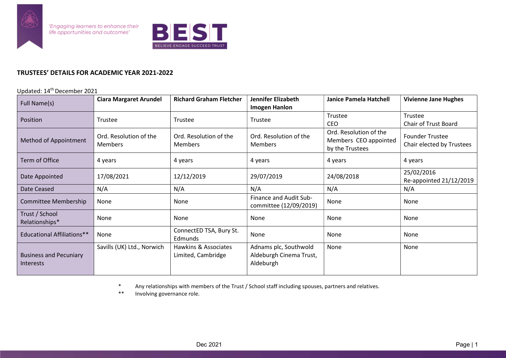

'Engaging learners to enhance their<br>life opportunities and outcomes'



## TRUSTEES' DETAILS FOR ACADEMIC YEAR 2021-2022

## Updated: 14th December 2021

| Full Name(s)                      | <b>Ciara Margaret Arundel</b>            | <b>Richard Graham Fletcher</b>    | <b>Jennifer Elizabeth</b>         | <b>Janice Pamela Hatchell</b>            | <b>Vivienne Jane Hughes</b>                         |
|-----------------------------------|------------------------------------------|-----------------------------------|-----------------------------------|------------------------------------------|-----------------------------------------------------|
|                                   |                                          |                                   | <b>Imogen Hanlon</b>              |                                          |                                                     |
| Position                          | Trustee                                  | Trustee                           | Trustee                           | Trustee                                  | Trustee                                             |
|                                   |                                          |                                   |                                   | <b>CEO</b>                               | Chair of Trust Board                                |
| Method of Appointment             | Ord. Resolution of the<br><b>Members</b> | Ord. Resolution of the<br>Members | Ord. Resolution of the<br>Members | Ord. Resolution of the                   | <b>Founder Trustee</b><br>Chair elected by Trustees |
|                                   |                                          |                                   |                                   | Members CEO appointed<br>by the Trustees |                                                     |
| <b>Term of Office</b>             | 4 years                                  | 4 years                           | 4 years                           | 4 years                                  | 4 years                                             |
|                                   |                                          |                                   |                                   |                                          |                                                     |
|                                   |                                          |                                   |                                   |                                          | 25/02/2016                                          |
| Date Appointed                    | 17/08/2021                               | 12/12/2019                        | 29/07/2019                        | 24/08/2018                               | Re-appointed 21/12/2019                             |
| Date Ceased                       | N/A                                      | N/A                               | N/A                               | N/A                                      | N/A                                                 |
| Committee Membership              | None                                     | None                              | Finance and Audit Sub-            | <b>None</b>                              | None                                                |
|                                   |                                          |                                   | committee (12/09/2019)            |                                          |                                                     |
| Trust / School<br>Relationships*  | None                                     | None                              | None                              | None                                     | None                                                |
|                                   |                                          | ConnectED TSA, Bury St.           |                                   |                                          |                                                     |
| <b>Educational Affiliations**</b> | None                                     | Edmunds                           | None                              | None                                     | None                                                |
|                                   | Savills (UK) Ltd., Norwich               | Hawkins & Associates              | Adnams plc, Southwold             | None                                     | None                                                |
| <b>Business and Pecuniary</b>     |                                          | Limited, Cambridge                | Aldeburgh Cinema Trust,           |                                          |                                                     |
| <b>Interests</b>                  |                                          |                                   | Aldeburgh                         |                                          |                                                     |
|                                   |                                          |                                   |                                   |                                          |                                                     |

\* Any relationships with members of the Trust / School staff including spouses, partners and relatives.

Involving governance role.